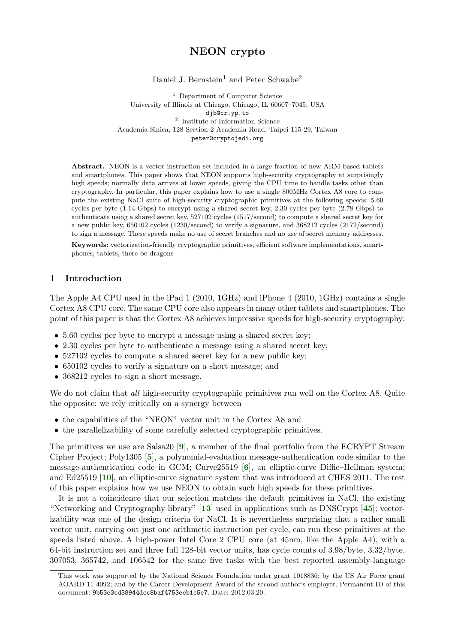# NEON crypto

Daniel J. Bernstein<sup>1</sup> and Peter Schwabe<sup>2</sup>

<sup>1</sup> Department of Computer Science University of Illinois at Chicago, Chicago, IL 60607–7045, USA djb@cr.yp.to 2 Institute of Information Science Academia Sinica, 128 Section 2 Academia Road, Taipei 115-29, Taiwan peter@cryptojedi.org

Abstract. NEON is a vector instruction set included in a large fraction of new ARM-based tablets and smartphones. This paper shows that NEON supports high-security cryptography at surprisingly high speeds; normally data arrives at lower speeds, giving the CPU time to handle tasks other than cryptography. In particular, this paper explains how to use a single 800MHz Cortex A8 core to compute the existing NaCl suite of high-security cryptographic primitives at the following speeds: 5.60 cycles per byte (1.14 Gbps) to encrypt using a shared secret key, 2.30 cycles per byte (2.78 Gbps) to authenticate using a shared secret key, 527102 cycles (1517/second) to compute a shared secret key for a new public key, 650102 cycles (1230/second) to verify a signature, and 368212 cycles (2172/second) to sign a message. These speeds make no use of secret branches and no use of secret memory addresses.

Keywords: vectorization-friendly cryptographic primitives, efficient software implementations, smartphones, tablets, there be dragons

### 1 Introduction

The Apple A4 CPU used in the iPad 1 (2010, 1GHz) and iPhone 4 (2010, 1GHz) contains a single Cortex A8 CPU core. The same CPU core also appears in many other tablets and smartphones. The point of this paper is that the Cortex A8 achieves impressive speeds for high-security cryptography:

- 5.60 cycles per byte to encrypt a message using a shared secret key;
- 2.30 cycles per byte to authenticate a message using a shared secret key;
- 527102 cycles to compute a shared secret key for a new public key;
- 650102 cycles to verify a signature on a short message; and
- 368212 cycles to sign a short message.

We do not claim that *all* high-security cryptographic primitives run well on the Cortex A8. Quite the opposite: we rely critically on a synergy between

- the capabilities of the "NEON" vector unit in the Cortex A8 and
- <span id="page-0-2"></span><span id="page-0-1"></span><span id="page-0-0"></span>• the parallelizability of some carefully selected cryptographic primitives.

The primitives we use are Salsa20 [[9](#page-12-0)], a member of the final portfolio from the ECRYPT Stream Cipher Project; Poly1305 [[5](#page-12-1)], a polynomial-evaluation message-authentication code similar to the message-authentication code in GCM; Curve25519 [[6](#page-12-2)], an elliptic-curve Diffie–Hellman system; and Ed25519 [[10](#page-12-3)], an elliptic-curve signature system that was introduced at CHES 2011. The rest of this paper explains how we use NEON to obtain such high speeds for these primitives.

<span id="page-0-5"></span><span id="page-0-4"></span><span id="page-0-3"></span>It is not a coincidence that our selection matches the default primitives in NaCl, the existing "Networking and Cryptography library" [[13](#page-12-4)] used in applications such as DNSCrypt [[45](#page-14-0)]; vectorizability was one of the design criteria for NaCl. It is nevertheless surprising that a rather small vector unit, carrying out just one arithmetic instruction per cycle, can run these primitives at the speeds listed above. A high-power Intel Core 2 CPU core (at 45nm, like the Apple A4), with a 64-bit instruction set and three full 128-bit vector units, has cycle counts of 3.98/byte, 3.32/byte, 307053, 365742, and 106542 for the same five tasks with the best reported assembly-language

This work was supported by the National Science Foundation under grant 1018836; by the US Air Force grant AOARD-11-4092; and by the Career Development Award of the second author's employer. Permanent ID of this document: 9b53e3cd38944dcc8baf4753eeb1c5e7. Date: 2012.03.20.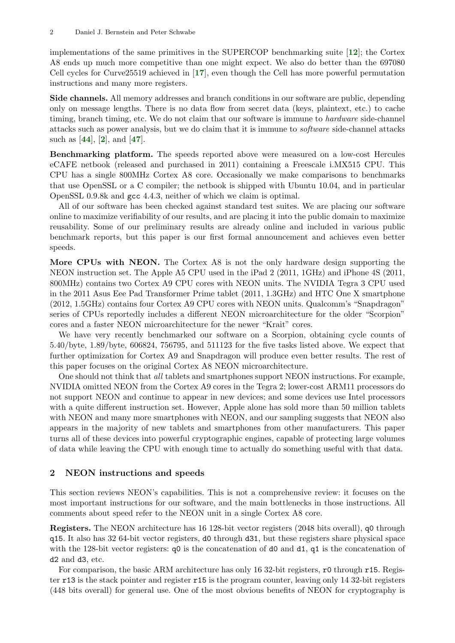<span id="page-1-2"></span><span id="page-1-1"></span>implementations of the same primitives in the SUPERCOP benchmarking suite  $[12]$  $[12]$  $[12]$ ; the Cortex A8 ends up much more competitive than one might expect. We also do better than the 697080 Cell cycles for Curve25519 achieved in [[17](#page-13-0)], even though the Cell has more powerful permutation instructions and many more registers.

Side channels. All memory addresses and branch conditions in our software are public, depending only on message lengths. There is no data flow from secret data (keys, plaintext, etc.) to cache timing, branch timing, etc. We do not claim that our software is immune to *hardware* side-channel attacks such as power analysis, but we do claim that it is immune to software side-channel attacks such as  $[44]$  $[44]$  $[44]$ ,  $[2]$  $[2]$  $[2]$ , and  $[47]$  $[47]$  $[47]$ .

<span id="page-1-4"></span><span id="page-1-3"></span><span id="page-1-0"></span>Benchmarking platform. The speeds reported above were measured on a low-cost Hercules eCAFE netbook (released and purchased in 2011) containing a Freescale i.MX515 CPU. This CPU has a single 800MHz Cortex A8 core. Occasionally we make comparisons to benchmarks that use OpenSSL or a C compiler; the netbook is shipped with Ubuntu 10.04, and in particular OpenSSL 0.9.8k and gcc 4.4.3, neither of which we claim is optimal.

All of our software has been checked against standard test suites. We are placing our software online to maximize verifiability of our results, and are placing it into the public domain to maximize reusability. Some of our preliminary results are already online and included in various public benchmark reports, but this paper is our first formal announcement and achieves even better speeds.

More CPUs with NEON. The Cortex A8 is not the only hardware design supporting the NEON instruction set. The Apple A5 CPU used in the iPad 2 (2011, 1GHz) and iPhone 4S (2011, 800MHz) contains two Cortex A9 CPU cores with NEON units. The NVIDIA Tegra 3 CPU used in the 2011 Asus Eee Pad Transformer Prime tablet (2011, 1.3GHz) and HTC One X smartphone (2012, 1.5GHz) contains four Cortex A9 CPU cores with NEON units. Qualcomm's "Snapdragon" series of CPUs reportedly includes a different NEON microarchitecture for the older "Scorpion" cores and a faster NEON microarchitecture for the newer "Krait" cores.

We have very recently benchmarked our software on a Scorpion, obtaining cycle counts of 5.40/byte, 1.89/byte, 606824, 756795, and 511123 for the five tasks listed above. We expect that further optimization for Cortex A9 and Snapdragon will produce even better results. The rest of this paper focuses on the original Cortex A8 NEON microarchitecture.

One should not think that all tablets and smartphones support NEON instructions. For example, NVIDIA omitted NEON from the Cortex A9 cores in the Tegra 2; lower-cost ARM11 processors do not support NEON and continue to appear in new devices; and some devices use Intel processors with a quite different instruction set. However, Apple alone has sold more than 50 million tablets with NEON and many more smartphones with NEON, and our sampling suggests that NEON also appears in the majority of new tablets and smartphones from other manufacturers. This paper turns all of these devices into powerful cryptographic engines, capable of protecting large volumes of data while leaving the CPU with enough time to actually do something useful with that data.

#### 2 NEON instructions and speeds

This section reviews NEON's capabilities. This is not a comprehensive review: it focuses on the most important instructions for our software, and the main bottlenecks in those instructions. All comments about speed refer to the NEON unit in a single Cortex A8 core.

Registers. The NEON architecture has 16 128-bit vector registers (2048 bits overall), q0 through q15. It also has 32 64-bit vector registers, d0 through d31, but these registers share physical space with the 128-bit vector registers:  $q0$  is the concatenation of d0 and d1, q1 is the concatenation of d2 and d3, etc.

For comparison, the basic ARM architecture has only 16 32-bit registers, r0 through r15. Register r13 is the stack pointer and register r15 is the program counter, leaving only 14 32-bit registers (448 bits overall) for general use. One of the most obvious benefits of NEON for cryptography is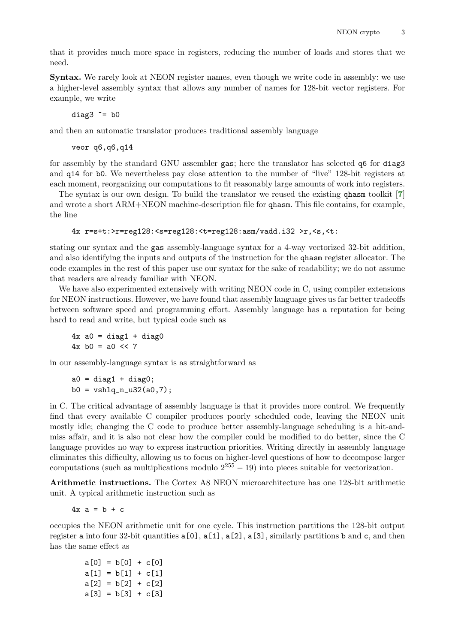that it provides much more space in registers, reducing the number of loads and stores that we need.

Syntax. We rarely look at NEON register names, even though we write code in assembly: we use a higher-level assembly syntax that allows any number of names for 128-bit vector registers. For example, we write

diag $3 \hat{=}$  b0

and then an automatic translator produces traditional assembly language

<span id="page-2-0"></span>veor q6,q6,q14

for assembly by the standard GNU assembler gas; here the translator has selected q6 for diag3 and q14 for b0. We nevertheless pay close attention to the number of "live" 128-bit registers at each moment, reorganizing our computations to fit reasonably large amounts of work into registers.

The syntax is our own design. To build the translator we reused the existing qhasm toolkit [[7](#page-12-7)] and wrote a short ARM+NEON machine-description file for qhasm. This file contains, for example, the line

```
4x r=s+t:>r=reg128:<s=reg128:<t=reg128:asm/vadd.i32 >r,<s,<t:
```
stating our syntax and the gas assembly-language syntax for a 4-way vectorized 32-bit addition, and also identifying the inputs and outputs of the instruction for the qhasm register allocator. The code examples in the rest of this paper use our syntax for the sake of readability; we do not assume that readers are already familiar with NEON.

We have also experimented extensively with writing NEON code in C, using compiler extensions for NEON instructions. However, we have found that assembly language gives us far better tradeoffs between software speed and programming effort. Assembly language has a reputation for being hard to read and write, but typical code such as

 $4x$  a $0 = diag1 + diag0$  $4x$  b0 = a0 << 7

in our assembly-language syntax is as straightforward as

 $a0 = diag1 + diag0;$  $b0 = vshlq_n_32(a0,7);$ 

in C. The critical advantage of assembly language is that it provides more control. We frequently find that every available C compiler produces poorly scheduled code, leaving the NEON unit mostly idle; changing the C code to produce better assembly-language scheduling is a hit-andmiss affair, and it is also not clear how the compiler could be modified to do better, since the C language provides no way to express instruction priorities. Writing directly in assembly language eliminates this difficulty, allowing us to focus on higher-level questions of how to decompose larger computations (such as multiplications modulo  $2^{255} - 19$ ) into pieces suitable for vectorization.

Arithmetic instructions. The Cortex A8 NEON microarchitecture has one 128-bit arithmetic unit. A typical arithmetic instruction such as

 $4x a = b + c$ 

occupies the NEON arithmetic unit for one cycle. This instruction partitions the 128-bit output register a into four 32-bit quantities  $a[0]$ ,  $a[1]$ ,  $a[2]$ ,  $a[3]$ , similarly partitions b and c, and then has the same effect as

 $a[0] = b[0] + c[0]$  $a[1] = b[1] + c[1]$  $a[2] = b[2] + c[2]$  $a[3] = b[3] + c[3]$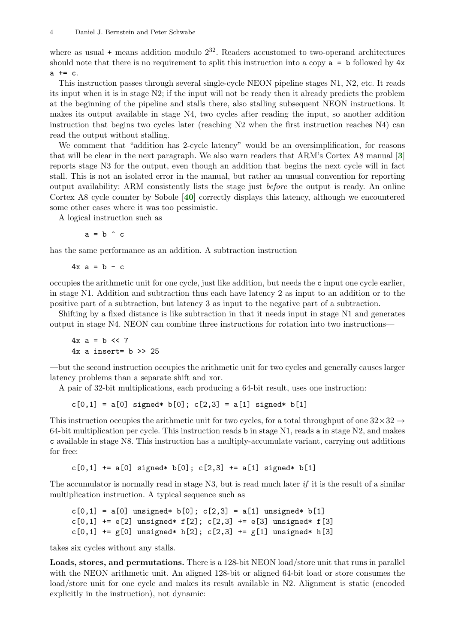where as usual  $+$  means addition modulo  $2^{32}$ . Readers accustomed to two-operand architectures should note that there is no requirement to split this instruction into a copy  $a = b$  followed by  $4x$  $a += c.$ 

This instruction passes through several single-cycle NEON pipeline stages N1, N2, etc. It reads its input when it is in stage N2; if the input will not be ready then it already predicts the problem at the beginning of the pipeline and stalls there, also stalling subsequent NEON instructions. It makes its output available in stage N4, two cycles after reading the input, so another addition instruction that begins two cycles later (reaching N2 when the first instruction reaches N4) can read the output without stalling.

We comment that "addition has 2-cycle latency" would be an oversimplification, for reasons that will be clear in the next paragraph. We also warn readers that ARM's Cortex A8 manual [[3](#page-12-8)] reports stage N3 for the output, even though an addition that begins the next cycle will in fact stall. This is not an isolated error in the manual, but rather an unusual convention for reporting output availability: ARM consistently lists the stage just before the output is ready. An online Cortex A8 cycle counter by Sobole [[40](#page-13-1)] correctly displays this latency, although we encountered some other cases where it was too pessimistic.

A logical instruction such as

<span id="page-3-1"></span><span id="page-3-0"></span> $a = b \hat{c}$ 

has the same performance as an addition. A subtraction instruction

 $4x$  a = b - c

occupies the arithmetic unit for one cycle, just like addition, but needs the c input one cycle earlier, in stage N1. Addition and subtraction thus each have latency 2 as input to an addition or to the positive part of a subtraction, but latency 3 as input to the negative part of a subtraction.

Shifting by a fixed distance is like subtraction in that it needs input in stage N1 and generates output in stage N4. NEON can combine three instructions for rotation into two instructions—

 $4x$  a = b << 7  $4x$  a insert=  $b \ge 25$ 

—but the second instruction occupies the arithmetic unit for two cycles and generally causes larger latency problems than a separate shift and xor.

A pair of 32-bit multiplications, each producing a 64-bit result, uses one instruction:

 $c[0,1] = a[0]$  signed\* b[0];  $c[2,3] = a[1]$  signed\* b[1]

This instruction occupies the arithmetic unit for two cycles, for a total throughput of one  $32 \times 32 \rightarrow$ 64-bit multiplication per cycle. This instruction reads b in stage N1, reads a in stage N2, and makes c available in stage N8. This instruction has a multiply-accumulate variant, carrying out additions for free:

 $c[0,1]$  += a[0] signed\* b[0];  $c[2,3]$  += a[1] signed\* b[1]

The accumulator is normally read in stage N3, but is read much later if it is the result of a similar multiplication instruction. A typical sequence such as

```
c[0,1] = a[0] unsigned* b[0]; c[2,3] = a[1] unsigned* b[1]
c[0,1] += e[2] unsigned* f[2]; c[2,3] += e[3] unsigned* f[3]
c[0,1] += g[0] unsigned* h[2]; c[2,3] += g[1] unsigned* h[3]
```
takes six cycles without any stalls.

Loads, stores, and permutations. There is a 128-bit NEON load/store unit that runs in parallel with the NEON arithmetic unit. An aligned 128-bit or aligned 64-bit load or store consumes the load/store unit for one cycle and makes its result available in N2. Alignment is static (encoded explicitly in the instruction), not dynamic: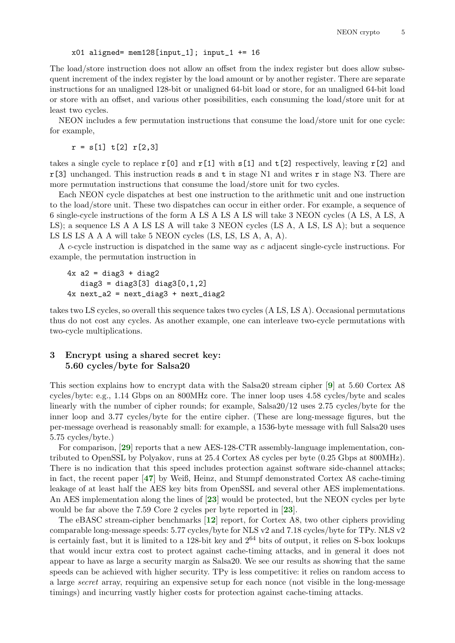### $x01$  aligned= mem128[input\_1]; input\_1 += 16

The load/store instruction does not allow an offset from the index register but does allow subsequent increment of the index register by the load amount or by another register. There are separate instructions for an unaligned 128-bit or unaligned 64-bit load or store, for an unaligned 64-bit load or store with an offset, and various other possibilities, each consuming the load/store unit for at least two cycles.

NEON includes a few permutation instructions that consume the load/store unit for one cycle: for example,

 $r = s[1] t[2] r[2,3]$ 

takes a single cycle to replace r[0] and r[1] with  $s[1]$  and  $t[2]$  respectively, leaving r[2] and  $r[3]$  unchanged. This instruction reads s and t in stage N1 and writes r in stage N3. There are more permutation instructions that consume the load/store unit for two cycles.

Each NEON cycle dispatches at best one instruction to the arithmetic unit and one instruction to the load/store unit. These two dispatches can occur in either order. For example, a sequence of 6 single-cycle instructions of the form A LS A LS A LS will take 3 NEON cycles (A LS, A LS, A LS); a sequence LS A A LS LS A will take 3 NEON cycles (LS A, A LS, LS A); but a sequence LS LS LS A A A will take 5 NEON cycles (LS, LS, LS A, A, A).

A c-cycle instruction is dispatched in the same way as c adjacent single-cycle instructions. For example, the permutation instruction in

```
4x a2 = diag3 + diag2
   diag3 = diag3[3] diag3[0, 1, 2]4x next_a2 = next_diag3 + next_diag2
```
takes two LS cycles, so overall this sequence takes two cycles (A LS, LS A). Occasional permutations thus do not cost any cycles. As another example, one can interleave two-cycle permutations with two-cycle multiplications.

## 3 Encrypt using a shared secret key: 5.60 cycles/byte for Salsa20

<span id="page-4-0"></span>This section explains how to encrypt data with the Salsa20 stream cipher [[9](#page-12-0)] at 5.60 Cortex A8 cycles/byte: e.g., 1.14 Gbps on an 800MHz core. The inner loop uses 4.58 cycles/byte and scales linearly with the number of cipher rounds; for example, Salsa20/12 uses 2.75 cycles/byte for the inner loop and 3.77 cycles/byte for the entire cipher. (These are long-message figures, but the per-message overhead is reasonably small: for example, a 1536-byte message with full Salsa20 uses 5.75 cycles/byte.)

<span id="page-4-5"></span><span id="page-4-4"></span>For comparison, [[29](#page-13-2)] reports that a new AES-128-CTR assembly-language implementation, contributed to OpenSSL by Polyakov, runs at 25.4 Cortex A8 cycles per byte (0.25 Gbps at 800MHz). There is no indication that this speed includes protection against software side-channel attacks; in fact, the recent paper [[47](#page-14-2)] by Weiß, Heinz, and Stumpf demonstrated Cortex A8 cache-timing leakage of at least half the AES key bits from OpenSSL and several other AES implementations. An AES implementation along the lines of [[23](#page-13-3)] would be protected, but the NEON cycles per byte would be far above the 7.59 Core 2 cycles per byte reported in [[23](#page-13-3)].

<span id="page-4-3"></span><span id="page-4-2"></span><span id="page-4-1"></span>The eBASC stream-cipher benchmarks [[12](#page-12-5)] report, for Cortex A8, two other ciphers providing comparable long-message speeds: 5.77 cycles/byte for NLS v2 and 7.18 cycles/byte for TPy. NLS v2 is certainly fast, but it is limited to a 128-bit key and  $2^{64}$  bits of output, it relies on S-box lookups that would incur extra cost to protect against cache-timing attacks, and in general it does not appear to have as large a security margin as Salsa20. We see our results as showing that the same speeds can be achieved with higher security. TPy is less competitive: it relies on random access to a large secret array, requiring an expensive setup for each nonce (not visible in the long-message timings) and incurring vastly higher costs for protection against cache-timing attacks.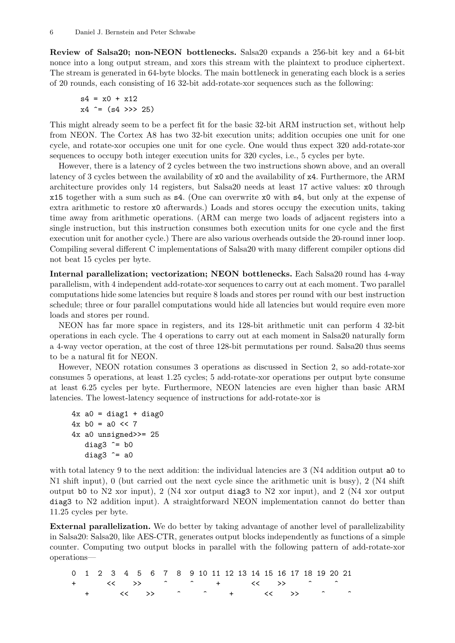Review of Salsa20; non-NEON bottlenecks. Salsa20 expands a 256-bit key and a 64-bit nonce into a long output stream, and xors this stream with the plaintext to produce ciphertext. The stream is generated in 64-byte blocks. The main bottleneck in generating each block is a series of 20 rounds, each consisting of 16 32-bit add-rotate-xor sequences such as the following:

 $s4 = x0 + x12$  $x4 = (s4 \gg 25)$ 

This might already seem to be a perfect fit for the basic 32-bit ARM instruction set, without help from NEON. The Cortex A8 has two 32-bit execution units; addition occupies one unit for one cycle, and rotate-xor occupies one unit for one cycle. One would thus expect 320 add-rotate-xor sequences to occupy both integer execution units for 320 cycles, i.e., 5 cycles per byte.

However, there is a latency of 2 cycles between the two instructions shown above, and an overall latency of 3 cycles between the availability of x0 and the availability of x4. Furthermore, the ARM architecture provides only 14 registers, but Salsa20 needs at least 17 active values: x0 through x15 together with a sum such as s4. (One can overwrite x0 with s4, but only at the expense of extra arithmetic to restore x0 afterwards.) Loads and stores occupy the execution units, taking time away from arithmetic operations. (ARM can merge two loads of adjacent registers into a single instruction, but this instruction consumes both execution units for one cycle and the first execution unit for another cycle.) There are also various overheads outside the 20-round inner loop. Compiling several different C implementations of Salsa20 with many different compiler options did not beat 15 cycles per byte.

Internal parallelization; vectorization; NEON bottlenecks. Each Salsa20 round has 4-way parallelism, with 4 independent add-rotate-xor sequences to carry out at each moment. Two parallel computations hide some latencies but require 8 loads and stores per round with our best instruction schedule; three or four parallel computations would hide all latencies but would require even more loads and stores per round.

NEON has far more space in registers, and its 128-bit arithmetic unit can perform 4 32-bit operations in each cycle. The 4 operations to carry out at each moment in Salsa20 naturally form a 4-way vector operation, at the cost of three 128-bit permutations per round. Salsa20 thus seems to be a natural fit for NEON.

However, NEON rotation consumes 3 operations as discussed in Section 2, so add-rotate-xor consumes 5 operations, at least 1.25 cycles; 5 add-rotate-xor operations per output byte consume at least 6.25 cycles per byte. Furthermore, NEON latencies are even higher than basic ARM latencies. The lowest-latency sequence of instructions for add-rotate-xor is

```
4x a0 = diag1 + diag04x b0 = a0 << 7
4x a0 unsigned>>= 25
   diag3 \hat{ } = b0
   diag3 \hat{=} a0
```
with total latency 9 to the next addition: the individual latencies are 3 (N4 addition output a0 to N1 shift input), 0 (but carried out the next cycle since the arithmetic unit is busy), 2 (N4 shift output b0 to N2 xor input), 2 (N4 xor output diag3 to N2 xor input), and 2 (N4 xor output diag3 to N2 addition input). A straightforward NEON implementation cannot do better than 11.25 cycles per byte.

External parallelization. We do better by taking advantage of another level of parallelizability in Salsa20: Salsa20, like AES-CTR, generates output blocks independently as functions of a simple counter. Computing two output blocks in parallel with the following pattern of add-rotate-xor operations—

|  |  |  | 0 1 2 3 4 5 6 7 8 9 10 11 12 13 14 15 16 17 18 19 20 21 |  |  |  |  |  |  |  |  |
|--|--|--|---------------------------------------------------------|--|--|--|--|--|--|--|--|
|  |  |  | キング くく いうえん こうこうしょう こうしょう キンコン くうしょう こうしょう こうしょう        |  |  |  |  |  |  |  |  |
|  |  |  | $+$ $\ltimes$ >> ^ ^ + $\ltimes$ >> ^ ^                 |  |  |  |  |  |  |  |  |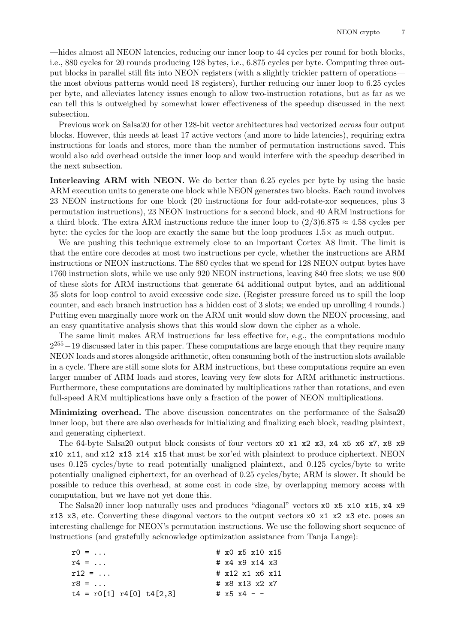—hides almost all NEON latencies, reducing our inner loop to 44 cycles per round for both blocks, i.e., 880 cycles for 20 rounds producing 128 bytes, i.e., 6.875 cycles per byte. Computing three output blocks in parallel still fits into NEON registers (with a slightly trickier pattern of operations the most obvious patterns would need 18 registers), further reducing our inner loop to 6.25 cycles per byte, and alleviates latency issues enough to allow two-instruction rotations, but as far as we can tell this is outweighed by somewhat lower effectiveness of the speedup discussed in the next subsection.

Previous work on Salsa20 for other 128-bit vector architectures had vectorized across four output blocks. However, this needs at least 17 active vectors (and more to hide latencies), requiring extra instructions for loads and stores, more than the number of permutation instructions saved. This would also add overhead outside the inner loop and would interfere with the speedup described in the next subsection.

Interleaving ARM with NEON. We do better than 6.25 cycles per byte by using the basic ARM execution units to generate one block while NEON generates two blocks. Each round involves 23 NEON instructions for one block (20 instructions for four add-rotate-xor sequences, plus 3 permutation instructions), 23 NEON instructions for a second block, and 40 ARM instructions for a third block. The extra ARM instructions reduce the inner loop to  $(2/3)6.875 \approx 4.58$  cycles per byte: the cycles for the loop are exactly the same but the loop produces  $1.5\times$  as much output.

We are pushing this technique extremely close to an important Cortex A8 limit. The limit is that the entire core decodes at most two instructions per cycle, whether the instructions are ARM instructions or NEON instructions. The 880 cycles that we spend for 128 NEON output bytes have 1760 instruction slots, while we use only 920 NEON instructions, leaving 840 free slots; we use 800 of these slots for ARM instructions that generate 64 additional output bytes, and an additional 35 slots for loop control to avoid excessive code size. (Register pressure forced us to spill the loop counter, and each branch instruction has a hidden cost of 3 slots; we ended up unrolling 4 rounds.) Putting even marginally more work on the ARM unit would slow down the NEON processing, and an easy quantitative analysis shows that this would slow down the cipher as a whole.

The same limit makes ARM instructions far less effective for, e.g., the computations modulo  $2^{255} - 19$  discussed later in this paper. These computations are large enough that they require many NEON loads and stores alongside arithmetic, often consuming both of the instruction slots available in a cycle. There are still some slots for ARM instructions, but these computations require an even larger number of ARM loads and stores, leaving very few slots for ARM arithmetic instructions. Furthermore, these computations are dominated by multiplications rather than rotations, and even full-speed ARM multiplications have only a fraction of the power of NEON multiplications.

Minimizing overhead. The above discussion concentrates on the performance of the Salsa20 inner loop, but there are also overheads for initializing and finalizing each block, reading plaintext, and generating ciphertext.

The 64-byte Salsa20 output block consists of four vectors x0 x1 x2 x3, x4 x5 x6 x7, x8 x9 x10 x11, and x12 x13 x14 x15 that must be xor'ed with plaintext to produce ciphertext. NEON uses 0.125 cycles/byte to read potentially unaligned plaintext, and 0.125 cycles/byte to write potentially unaligned ciphertext, for an overhead of 0.25 cycles/byte; ARM is slower. It should be possible to reduce this overhead, at some cost in code size, by overlapping memory access with computation, but we have not yet done this.

The Salsa20 inner loop naturally uses and produces "diagonal" vectors x0 x5 x10 x15, x4 x9 x13 x3, etc. Converting these diagonal vectors to the output vectors x0 x1 x2 x3 etc. poses an interesting challenge for NEON's permutation instructions. We use the following short sequence of instructions (and gratefully acknowledge optimization assistance from Tanja Lange):

| $r0 = $                    |  | # x0 x5 x10 x15          |  |
|----------------------------|--|--------------------------|--|
| $r4 = $                    |  | # $x4$ $x9$ $x14$ $x3$   |  |
| $r12 = $                   |  | $\#$ x 1 2 x 1 x 6 x 1 1 |  |
| $r8 = $                    |  | $\#$ x8 x13 x2 x7        |  |
| $t4 = r0[1] r4[0] t4[2.3]$ |  | # $x5 x4 -$              |  |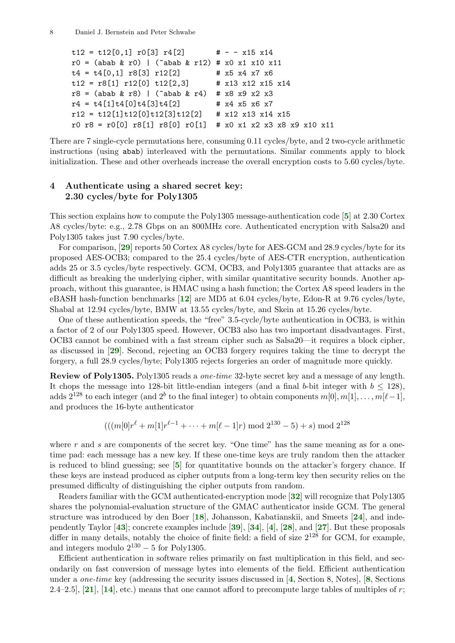```
t12 = t12[0,1] r0[3] r4[2] # - - x15 x14
r0 = (abab & r0) | ("abab & r12) # x0 x1 x10 x11
t4 = t4[0,1] r8[3] r12[2] # x5 x4 x7 x6
t12 = r8[1] r12[0] t12[2,3] # x13 x12 x15 x14
r8 = (abab \& r8) | ("abab & r4) # x8 x9 x2 x3
r4 = t4[1]t4[0]t4[3]t4[2] # x4 x5 x6 x7
r12 = t12[1]t12[0]t12[3]t12[2] # x12 x13 x14 x15
r0 r8 = r0[0] r8[1] r8[0] r0[1] # x0 x1 x2 x3 x8 x9 x10 x11
```
There are 7 single-cycle permutations here, consuming 0.11 cycles/byte, and 2 two-cycle arithmetic instructions (using abab) interleaved with the permutations. Similar comments apply to block initialization. These and other overheads increase the overall encryption costs to 5.60 cycles/byte.

### 4 Authenticate using a shared secret key: 2.30 cycles/byte for Poly1305

<span id="page-7-2"></span>This section explains how to compute the Poly1305 message-authentication code [[5](#page-12-1)] at 2.30 Cortex A8 cycles/byte: e.g., 2.78 Gbps on an 800MHz core. Authenticated encryption with Salsa20 and Poly1305 takes just 7.90 cycles/byte.

<span id="page-7-12"></span>For comparison, [[29](#page-13-2)] reports 50 Cortex A8 cycles/byte for AES-GCM and 28.9 cycles/byte for its proposed AES-OCB3; compared to the 25.4 cycles/byte of AES-CTR encryption, authentication adds 25 or 3.5 cycles/byte respectively. GCM, OCB3, and Poly1305 guarantee that attacks are as difficult as breaking the underlying cipher, with similar quantitative security bounds. Another approach, without this guarantee, is HMAC using a hash function; the Cortex A8 speed leaders in the eBASH hash-function benchmarks [[12](#page-12-5)] are MD5 at 6.04 cycles/byte, Edon-R at 9.76 cycles/byte, Shabal at 12.94 cycles/byte, BMW at 13.55 cycles/byte, and Skein at 15.26 cycles/byte.

<span id="page-7-13"></span><span id="page-7-5"></span>One of these authentication speeds, the "free" 3.5-cycle/byte authentication in OCB3, is within a factor of 2 of our Poly1305 speed. However, OCB3 also has two important disadvantages. First, OCB3 cannot be combined with a fast stream cipher such as Salsa20—it requires a block cipher, as discussed in [[29](#page-13-2)]. Second, rejecting an OCB3 forgery requires taking the time to decrypt the forgery, a full 28.9 cycles/byte; Poly1305 rejects forgeries an order of magnitude more quickly.

Review of Poly1305. Poly1305 reads a one-time 32-byte secret key and a message of any length. It chops the message into 128-bit little-endian integers (and a final b-bit integer with  $b \le 128$ ), adds  $2^{128}$  to each integer (and  $2^b$  to the final integer) to obtain components  $m[0], m[1], \ldots, m[\ell-1],$ and produces the 16-byte authenticator

<span id="page-7-16"></span><span id="page-7-15"></span><span id="page-7-14"></span><span id="page-7-11"></span><span id="page-7-10"></span><span id="page-7-9"></span><span id="page-7-7"></span><span id="page-7-4"></span><span id="page-7-3"></span><span id="page-7-1"></span><span id="page-7-0"></span>
$$
(((m[0]r^{\ell} + m[1]r^{\ell-1} + \cdots + m[\ell-1]r) \bmod 2^{130} - 5) + s) \bmod 2^{128}
$$

where r and s are components of the secret key. "One time" has the same meaning as for a onetime pad: each message has a new key. If these one-time keys are truly random then the attacker is reduced to blind guessing; see  $\mathfrak{b}$  for quantitative bounds on the attacker's forgery chance. If these keys are instead produced as cipher outputs from a long-term key then security relies on the presumed difficulty of distinguishing the cipher outputs from random.

<span id="page-7-17"></span>Readers familiar with the GCM authenticated-encryption mode [[32](#page-13-4)] will recognize that Poly1305 shares the polynomial-evaluation structure of the GMAC authenticator inside GCM. The general structure was introduced by den Boer [[18](#page-13-5)], Johansson, Kabatianskii, and Smeets [[24](#page-13-6)], and independently Taylor [[43](#page-14-3)]; concrete examples include [[39](#page-13-7)], [[34](#page-13-8)], [[4](#page-12-9)], [[28](#page-13-9)], and [[27](#page-13-10)]. But these proposals differ in many details, notably the choice of finite field: a field of size  $2^{128}$  for GCM, for example, and integers modulo  $2^{130} - 5$  for Poly1305.

<span id="page-7-8"></span><span id="page-7-6"></span>Efficient authentication in software relies primarily on fast multiplication in this field, and secondarily on fast conversion of message bytes into elements of the field. Efficient authentication under a one-time key (addressing the security issues discussed in [[4](#page-12-9), Section 8, Notes], [[8](#page-12-10), Sections 2.4–2.5], [[21](#page-13-11)], [[14](#page-12-11)], etc.) means that one cannot afford to precompute large tables of multiples of  $r$ ;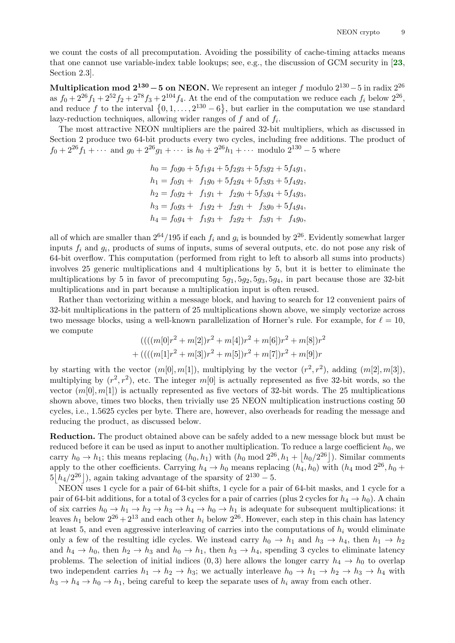we count the costs of all precomputation. Avoiding the possibility of cache-timing attacks means that one cannot use variable-index table lookups; see, e.g., the discussion of GCM security in [[23](#page-13-3), Section 2.3].

Multiplication mod  $2^{130} - 5$  on NEON. We represent an integer f modulo  $2^{130} - 5$  in radix  $2^{26}$ as  $f_0 + 2^{26} f_1 + 2^{52} f_2 + 2^{78} f_3 + 2^{104} f_4$ . At the end of the computation we reduce each  $f_i$  below  $2^{26}$ , and reduce f to the interval  $\{0, 1, \ldots, 2^{130} - 6\}$ , but earlier in the computation we use standard lazy-reduction techniques, allowing wider ranges of  $f$  and of  $f_i$ .

The most attractive NEON multipliers are the paired 32-bit multipliers, which as discussed in Section 2 produce two 64-bit products every two cycles, including free additions. The product of  $f_0 + 2^{26} f_1 + \cdots$  and  $g_0 + 2^{26} g_1 + \cdots$  is  $h_0 + 2^{26} h_1 + \cdots$  modulo  $2^{130} - 5$  where

<span id="page-8-0"></span>
$$
h_0 = f_0g_0 + 5f_1g_4 + 5f_2g_3 + 5f_3g_2 + 5f_4g_1,
$$
  
\n
$$
h_1 = f_0g_1 + f_1g_0 + 5f_2g_4 + 5f_3g_3 + 5f_4g_2,
$$
  
\n
$$
h_2 = f_0g_2 + f_1g_1 + f_2g_0 + 5f_3g_4 + 5f_4g_3,
$$
  
\n
$$
h_3 = f_0g_3 + f_1g_2 + f_2g_1 + f_3g_0 + 5f_4g_4,
$$
  
\n
$$
h_4 = f_0g_4 + f_1g_3 + f_2g_2 + f_3g_1 + f_4g_0,
$$

all of which are smaller than  $2^{64}/195$  if each  $f_i$  and  $g_i$  is bounded by  $2^{26}$ . Evidently somewhat larger inputs  $f_i$  and  $g_i$ , products of sums of inputs, sums of several outputs, etc. do not pose any risk of 64-bit overflow. This computation (performed from right to left to absorb all sums into products) involves 25 generic multiplications and 4 multiplications by 5, but it is better to eliminate the multiplications by 5 in favor of precomputing  $5g_1, 5g_2, 5g_3, 5g_4$ , in part because those are 32-bit multiplications and in part because a multiplication input is often reused.

Rather than vectorizing within a message block, and having to search for 12 convenient pairs of 32-bit multiplications in the pattern of 25 multiplications shown above, we simply vectorize across two message blocks, using a well-known parallelization of Horner's rule. For example, for  $\ell = 10$ , we compute

$$
(((m[0]r^{2} + m[2])r^{2} + m[4])r^{2} + m[6])r^{2} + m[8])r^{2}
$$
  
+ 
$$
(((m[1]r^{2} + m[3])r^{2} + m[5])r^{2} + m[7])r^{2} + m[9])r
$$

by starting with the vector  $(m[0], m[1])$ , multiplying by the vector  $(r^2, r^2)$ , adding  $(m[2], m[3])$ , multiplying by  $(r^2, r^2)$ , etc. The integer  $m[0]$  is actually represented as five 32-bit words, so the vector  $(m[0], m[1])$  is actually represented as five vectors of 32-bit words. The 25 multiplications shown above, times two blocks, then trivially use 25 NEON multiplication instructions costing 50 cycles, i.e., 1.5625 cycles per byte. There are, however, also overheads for reading the message and reducing the product, as discussed below.

Reduction. The product obtained above can be safely added to a new message block but must be reduced before it can be used as input to another multiplication. To reduce a large coefficient  $h_0$ , we carry  $h_0 \to h_1$ ; this means replacing  $(h_0, h_1)$  with  $(h_0 \mod 2^{26}, h_1 + |h_0/2^{26}|)$ . Similar comments apply to the other coefficients. Carrying  $h_4 \to h_0$  means replacing  $(h_4, h_0)$  with  $(h_4 \text{ mod } 2^{26}, h_0 +$  $5|h_4/2^{26}|$ , again taking advantage of the sparsity of  $2^{130} - 5$ .

NEON uses 1 cycle for a pair of 64-bit shifts, 1 cycle for a pair of 64-bit masks, and 1 cycle for a pair of 64-bit additions, for a total of 3 cycles for a pair of carries (plus 2 cycles for  $h_4 \to h_0$ ). A chain of six carries  $h_0 \to h_1 \to h_2 \to h_3 \to h_4 \to h_0 \to h_1$  is adequate for subsequent multiplications: it leaves  $h_1$  below  $2^{26} + 2^{13}$  and each other  $h_i$  below  $2^{26}$ . However, each step in this chain has latency at least 5, and even aggressive interleaving of carries into the computations of  $h_i$  would eliminate only a few of the resulting idle cycles. We instead carry  $h_0 \to h_1$  and  $h_3 \to h_4$ , then  $h_1 \to h_2$ and  $h_4 \to h_0$ , then  $h_2 \to h_3$  and  $h_0 \to h_1$ , then  $h_3 \to h_4$ , spending 3 cycles to eliminate latency problems. The selection of initial indices  $(0,3)$  here allows the longer carry  $h_4 \rightarrow h_0$  to overlap two independent carries  $h_1 \to h_2 \to h_3$ ; we actually interleave  $h_0 \to h_1 \to h_2 \to h_3 \to h_4$  with  $h_3 \to h_4 \to h_0 \to h_1$ , being careful to keep the separate uses of  $h_i$  away from each other.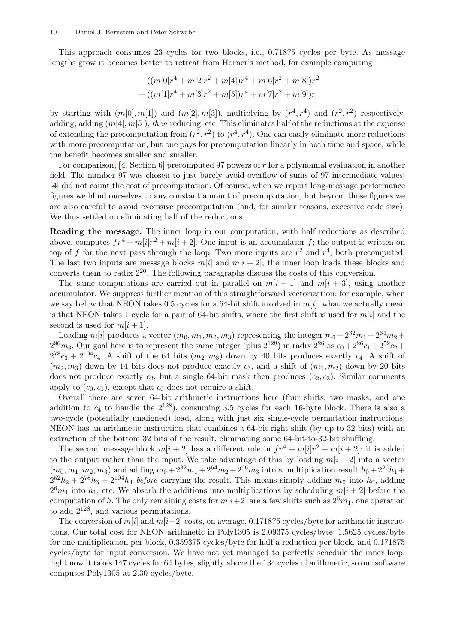This approach consumes 23 cycles for two blocks, i.e., 0.71875 cycles per byte. As message lengths grow it becomes better to retreat from Horner's method, for example computing

$$
((m[0]r^{4} + m[2]r^{2} + m[4])r^{4} + m[6]r^{2} + m[8])r^{2}
$$
  
+ 
$$
((m[1]r^{4} + m[3]r^{2} + m[5])r^{4} + m[7]r^{2} + m[9])r
$$

by starting with  $(m[0], m[1])$  and  $(m[2], m[3])$ , multiplying by  $(r^4, r^4)$  and  $(r^2, r^2)$  respectively, adding, adding  $(m[4], m[5])$ , then reducing, etc. This eliminates half of the reductions at the expense of extending the precomputation from  $(r^2, r^2)$  to  $(r^4, r^4)$ . One can easily eliminate more reductions with more precomputation, but one pays for precomputation linearly in both time and space, while the benefit becomes smaller and smaller.

<span id="page-9-1"></span><span id="page-9-0"></span>For comparison,  $[4, Section 6]$  $[4, Section 6]$  $[4, Section 6]$  precomputed 97 powers of r for a polynomial evaluation in another field. The number 97 was chosen to just barely avoid overflow of sums of 97 intermediate values; [[4](#page-12-9)] did not count the cost of precomputation. Of course, when we report long-message performance figures we blind ourselves to any constant amount of precomputation, but beyond those figures we are also careful to avoid excessive precomputation (and, for similar reasons, excessive code size). We thus settled on eliminating half of the reductions.

Reading the message. The inner loop in our computation, with half reductions as described above, computes  $fr^4 + m[i]r^2 + m[i+2]$ . One input is an accumulator f; the output is written on top of f for the next pass through the loop. Two more inputs are  $r^2$  and  $r^4$ , both precomputed. The last two inputs are message blocks  $m[i]$  and  $m[i + 2]$ ; the inner loop loads these blocks and converts them to radix  $2^{26}$ . The following paragraphs discuss the costs of this conversion.

The same computations are carried out in parallel on  $m[i + 1]$  and  $m[i + 3]$ , using another accumulator. We suppress further mention of this straightforward vectorization: for example, when we say below that NEON takes 0.5 cycles for a 64-bit shift involved in  $m[i]$ , what we actually mean is that NEON takes 1 cycle for a pair of 64-bit shifts, where the first shift is used for  $m[i]$  and the second is used for  $m[i+1]$ .

Loading  $m[i]$  produces a vector  $(m_0, m_1, m_2, m_3)$  representing the integer  $m_0 + 2^{32}m_1 + 2^{64}m_2 +$  $2^{96}m_3$ . Our goal here is to represent the same integer (plus  $2^{128}$ ) in radix  $2^{26}$  as  $c_0 + 2^{26}c_1 + 2^{52}c_2 +$  $2^{78}c_3 + 2^{104}c_4$ . A shift of the 64 bits  $(m_2, m_3)$  down by 40 bits produces exactly  $c_4$ . A shift of  $(m_2, m_3)$  down by 14 bits does not produce exactly  $c_3$ , and a shift of  $(m_1, m_2)$  down by 20 bits does not produce exactly  $c_2$ , but a single 64-bit mask then produces  $(c_2, c_3)$ . Similar comments apply to  $(c_0, c_1)$ , except that  $c_0$  does not require a shift.

Overall there are seven 64-bit arithmetic instructions here (four shifts, two masks, and one addition to  $c_4$  to handle the  $2^{128}$ ), consuming 3.5 cycles for each 16-byte block. There is also a two-cycle (potentially unaligned) load, along with just six single-cycle permutation instructions; NEON has an arithmetic instruction that combines a 64-bit right shift (by up to 32 bits) with an extraction of the bottom 32 bits of the result, eliminating some 64-bit-to-32-bit shuffling.

The second message block  $m[i+2]$  has a different role in  $fr^4 + m[i]r^2 + m[i+2]$ : it is added to the output rather than the input. We take advantage of this by loading  $m[i + 2]$  into a vector  $(m_0, m_1, m_2, m_3)$  and adding  $m_0 + 2^{32}m_1 + 2^{64}m_2 + 2^{96}m_3$  into a multiplication result  $h_0 + 2^{26}h_1 +$  $2^{52}h_2 + 2^{78}h_3 + 2^{104}h_4$  before carrying the result. This means simply adding  $m_0$  into  $h_0$ , adding  $2<sup>6</sup>m<sub>1</sub>$  into  $h<sub>1</sub>$ , etc. We absorb the additions into multiplications by scheduling  $m[i + 2]$  before the computation of h. The only remaining costs for  $m[i+2]$  are a few shifts such as  $2^{6}m_1$ , one operation to add  $2^{128}$ , and various permutations.

The conversion of  $m[i]$  and  $m[i+2]$  costs, on average, 0.171875 cycles/byte for arithmetic instructions. Our total cost for NEON arithmetic in Poly1305 is 2.09375 cycles/byte: 1.5625 cycles/byte for one multiplication per block, 0.359375 cycles/byte for half a reduction per block, and 0.171875 cycles/byte for input conversion. We have not yet managed to perfectly schedule the inner loop: right now it takes 147 cycles for 64 bytes, slightly above the 134 cycles of arithmetic, so our software computes Poly1305 at 2.30 cycles/byte.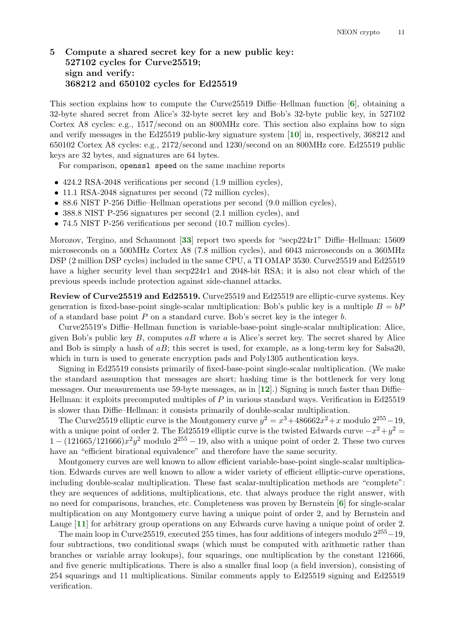# 5 Compute a shared secret key for a new public key: 527102 cycles for Curve25519; sign and verify: 368212 and 650102 cycles for Ed25519

This section explains how to compute the Curve25519 Diffie–Hellman function [[6](#page-12-2)], obtaining a 32-byte shared secret from Alice's 32-byte secret key and Bob's 32-byte public key, in 527102 Cortex A8 cycles: e.g., 1517/second on an 800MHz core. This section also explains how to sign and verify messages in the Ed25519 public-key signature system [[10](#page-12-3)] in, respectively, 368212 and 650102 Cortex A8 cycles: e.g., 2172/second and 1230/second on an 800MHz core. Ed25519 public keys are 32 bytes, and signatures are 64 bytes.

<span id="page-10-2"></span><span id="page-10-0"></span>For comparison, openssl speed on the same machine reports

- 424.2 RSA-2048 verifications per second (1.9 million cycles),
- 11.1 RSA-2048 signatures per second (72 million cycles),
- 88.6 NIST P-256 Diffie–Hellman operations per second (9.0 million cycles),
- 388.8 NIST P-256 signatures per second  $(2.1 \text{ million cycles})$ , and
- <span id="page-10-5"></span>• 74.5 NIST P-256 verifications per second (10.7 million cycles).

Morozov, Tergino, and Schaumont [[33](#page-13-12)] report two speeds for "secp224r1" Diffie–Hellman: 15609 microseconds on a 500MHz Cortex A8 (7.8 million cycles), and 6043 microseconds on a 360MHz DSP (2 million DSP cycles) included in the same CPU, a TI OMAP 3530. Curve25519 and Ed25519 have a higher security level than secp224r1 and 2048-bit RSA; it is also not clear which of the previous speeds include protection against side-channel attacks.

Review of Curve25519 and Ed25519. Curve25519 and Ed25519 are elliptic-curve systems. Key generation is fixed-base-point single-scalar multiplication: Bob's public key is a multiple  $B = bP$ of a standard base point  $P$  on a standard curve. Bob's secret key is the integer  $b$ .

Curve25519's Diffie–Hellman function is variable-base-point single-scalar multiplication: Alice, given Bob's public key  $B$ , computes  $aB$  where  $a$  is Alice's secret key. The secret shared by Alice and Bob is simply a hash of  $aB$ ; this secret is used, for example, as a long-term key for Salsa20, which in turn is used to generate encryption pads and Poly1305 authentication keys.

<span id="page-10-4"></span>Signing in Ed25519 consists primarily of fixed-base-point single-scalar multiplication. (We make the standard assumption that messages are short; hashing time is the bottleneck for very long messages. Our measurements use 59-byte messages, as in  $[12]$  $[12]$  $[12]$ .) Signing is much faster than Diffie– Hellman: it exploits precomputed multiples of  $P$  in various standard ways. Verification in Ed25519 is slower than Diffie–Hellman: it consists primarily of double-scalar multiplication.

The Curve25519 elliptic curve is the Montgomery curve  $y^2 = x^3 + 486662x^2 + x$  modulo  $2^{255} - 19$ , with a unique point of order 2. The Ed25519 elliptic curve is the twisted Edwards curve  $-x^2+y^2 =$  $1 - (121665/121666)x^2y^2$  modulo  $2^{255} - 19$ , also with a unique point of order 2. These two curves have an "efficient birational equivalence" and therefore have the same security.

Montgomery curves are well known to allow efficient variable-base-point single-scalar multiplication. Edwards curves are well known to allow a wider variety of efficient elliptic-curve operations, including double-scalar multiplication. These fast scalar-multiplication methods are "complete": they are sequences of additions, multiplications, etc. that always produce the right answer, with no need for comparisons, branches, etc. Completeness was proven by Bernstein [[6](#page-12-2)] for single-scalar multiplication on any Montgomery curve having a unique point of order 2, and by Bernstein and Lange [[11](#page-12-12)] for arbitrary group operations on any Edwards curve having a unique point of order 2.

<span id="page-10-3"></span><span id="page-10-1"></span>The main loop in Curve25519, executed 255 times, has four additions of integers modulo  $2^{255}-19$ , four subtractions, two conditional swaps (which must be computed with arithmetic rather than branches or variable array lookups), four squarings, one multiplication by the constant 121666, and five generic multiplications. There is also a smaller final loop (a field inversion), consisting of 254 squarings and 11 multiplications. Similar comments apply to Ed25519 signing and Ed25519 verification.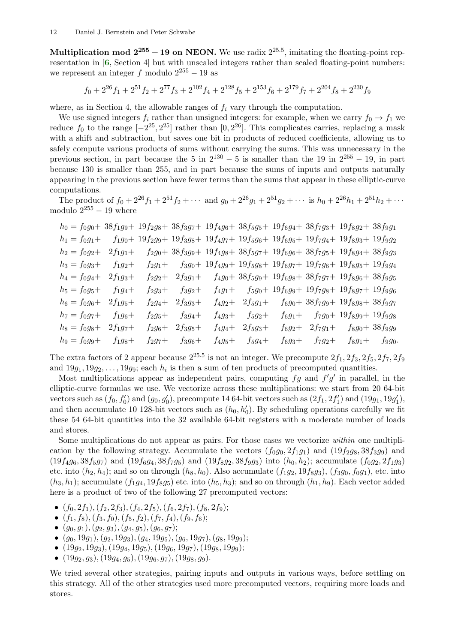Multiplication mod  $2^{255} - 19$  on NEON. We use radix  $2^{25.5}$ , imitating the floating-point rep-resentation in [[6](#page-12-2), Section 4] but with unscaled integers rather than scaled floating-point numbers: we represent an integer f modulo  $2^{255} - 19$  as

<span id="page-11-0"></span>
$$
f_0 + 2^{26} f_1 + 2^{51} f_2 + 2^{77} f_3 + 2^{102} f_4 + 2^{128} f_5 + 2^{153} f_6 + 2^{179} f_7 + 2^{204} f_8 + 2^{230} f_9
$$

where, as in Section 4, the allowable ranges of  $f_i$  vary through the computation.

We use signed integers  $f_i$  rather than unsigned integers: for example, when we carry  $f_0 \rightarrow f_1$  we reduce  $f_0$  to the range  $[-2^{25}, 2^{25}]$  rather than  $[0, 2^{26}]$ . This complicates carries, replacing a mask with a shift and subtraction, but saves one bit in products of reduced coefficients, allowing us to safely compute various products of sums without carrying the sums. This was unnecessary in the previous section, in part because the 5 in  $2^{130} - 5$  is smaller than the 19 in  $2^{255} - 19$ , in part because 130 is smaller than 255, and in part because the sums of inputs and outputs naturally appearing in the previous section have fewer terms than the sums that appear in these elliptic-curve computations.

The product of  $f_0 + 2^{26}f_1 + 2^{51}f_2 + \cdots$  and  $g_0 + 2^{26}g_1 + 2^{51}g_2 + \cdots$  is  $h_0 + 2^{26}h_1 + 2^{51}h_2 + \cdots$ modulo  $2^{255} - 19$  where

$$
h_0 = f_0g_0 + 38f_1g_9 + 19f_2g_8 + 38f_3g_7 + 19f_4g_6 + 38f_5g_5 + 19f_6g_4 + 38f_7g_3 + 19f_8g_2 + 38f_9g_1
$$
\n
$$
h_1 = f_0g_1 + f_1g_0 + 19f_2g_9 + 19f_3g_8 + 19f_4g_7 + 19f_5g_6 + 19f_6g_5 + 19f_7g_4 + 19f_8g_3 + 19f_9g_2
$$
\n
$$
h_2 = f_0g_2 + 2f_1g_1 + f_2g_0 + 38f_3g_9 + 19f_4g_8 + 38f_5g_7 + 19f_6g_6 + 38f_7g_5 + 19f_8g_4 + 38f_9g_3
$$
\n
$$
h_3 = f_0g_3 + f_1g_2 + f_2g_1 + f_3g_0 + 19f_4g_9 + 19f_5g_8 + 19f_6g_7 + 19f_7g_6 + 19f_8g_5 + 19f_9g_4
$$
\n
$$
h_4 = f_0g_4 + 2f_1g_3 + f_2g_2 + 2f_3g_1 + f_4g_0 + 38f_5g_9 + 19f_6g_8 + 38f_7g_7 + 19f_8g_6 + 38f_9g_5
$$
\n
$$
h_5 = f_0g_5 + f_1g_4 + f_2g_3 + f_3g_2 + f_4g_1 + f_5g_0 + 19f_6g_9 + 19f_7g_8 + 19f_8g_7 + 19f_9g_6
$$
\n
$$
h_6 = f_0g_6 + 2f_1g_5 + f_2g_4 + 2f_3g_3 + f_4g_2 + 2f_5g_1 + f_6g_0 + 38f_7g_9 + 19f_8g_8 + 38f_9g_7
$$
\n
$$
h_7 = f_0g_7 + f_1g_6 + f_2g_5 + f_3g_4 + f_4g_3 + f
$$

The extra factors of 2 appear because  $2^{25.5}$  is not an integer. We precompute  $2f_1$ ,  $2f_3$ ,  $2f_5$ ,  $2f_7$ ,  $2f_9$ and  $19g_1, 19g_2, \ldots, 19g_9$ ; each  $h_i$  is then a sum of ten products of precomputed quantities.

Most multiplications appear as independent pairs, computing  $fg$  and  $f'g'$  in parallel, in the elliptic-curve formulas we use. We vectorize across these multiplications: we start from 20 64-bit vectors such as  $(f_0, f'_0)$  and  $(g_0, g'_0)$ , precompute 14 64-bit vectors such as  $(2f_1, 2f'_1)$  and  $(19g_1, 19g'_1)$ , and then accumulate 10 128-bit vectors such as  $(h_0, h'_0)$ . By scheduling operations carefully we fit these 54 64-bit quantities into the 32 available 64-bit registers with a moderate number of loads and stores.

Some multiplications do not appear as pairs. For those cases we vectorize within one multiplication by the following strategy. Accumulate the vectors  $(f_0g_0, 2f_1g_1)$  and  $(19f_2g_8, 38f_3g_9)$  and  $(19f_4g_6, 38f_5g_7)$  and  $(19f_6g_4, 38f_7g_5)$  and  $(19f_8g_2, 38f_9g_3)$  into  $(h_0, h_2)$ ; accumulate  $(f_0g_2, 2f_1g_3)$ etc. into  $(h_2, h_4)$ ; and so on through  $(h_8, h_0)$ . Also accumulate  $(f_1g_2, 19f_8g_3)$ ,  $(f_3g_0, f_0g_1)$ , etc. into  $(h_3, h_1)$ ; accumulate  $(f_1g_4, 19f_8g_5)$  etc. into  $(h_5, h_3)$ ; and so on through  $(h_1, h_9)$ . Each vector added here is a product of two of the following 27 precomputed vectors:

- $(f_0, 2f_1), (f_2, 2f_3), (f_4, 2f_5), (f_6, 2f_7), (f_8, 2f_9);$
- $(f_1, f_8), (f_3, f_0), (f_5, f_2), (f_7, f_4), (f_9, f_6);$
- $(g_0, g_1), (g_2, g_3), (g_4, g_5), (g_6, g_7);$
- $(g_0, 19g_1), (g_2, 19g_3), (g_4, 19g_5), (g_6, 19g_7), (g_8, 19g_9);$
- $(19g_2, 19g_3), (19g_4, 19g_5), (19g_6, 19g_7), (19g_8, 19g_9);$
- $(19g_2, g_3), (19g_4, g_5), (19g_6, g_7), (19g_8, g_9).$

We tried several other strategies, pairing inputs and outputs in various ways, before settling on this strategy. All of the other strategies used more precomputed vectors, requiring more loads and stores.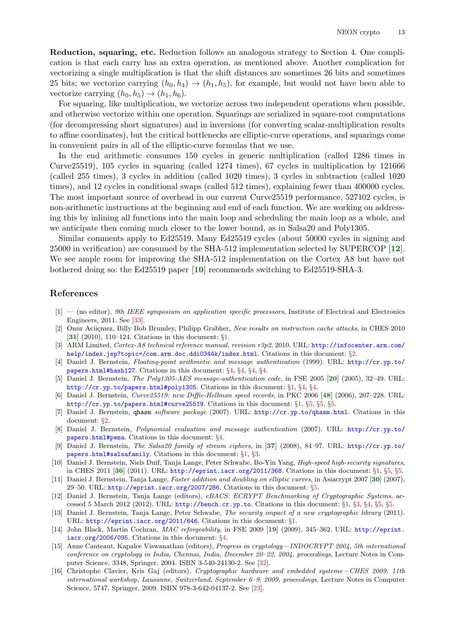Reduction, squaring, etc. Reduction follows an analogous strategy to Section 4. One complication is that each carry has an extra operation, as mentioned above. Another complication for vectorizing a single multiplication is that the shift distances are sometimes 26 bits and sometimes 25 bits; we vectorize carrying  $(h_0, h_4) \rightarrow (h_1, h_5)$ , for example, but would not have been able to vectorize carrying  $(h_0, h_5) \rightarrow (h_1, h_6)$ .

For squaring, like multiplication, we vectorize across two independent operations when possible, and otherwise vectorize within one operation. Squarings are serialized in square-root computations (for decompressing short signatures) and in inversions (for converting scalar-multiplication results to affine coordinates), but the critical bottlenecks are elliptic-curve operations, and squarings come in convenient pairs in all of the elliptic-curve formulas that we use.

In the end arithmetic consumes 150 cycles in generic multiplication (called 1286 times in Curve25519), 105 cycles in squaring (called 1274 times), 67 cycles in multiplication by 121666 (called 255 times), 3 cycles in addition (called 1020 times), 3 cycles in subtraction (called 1020 times), and 12 cycles in conditional swaps (called 512 times), explaining fewer than 400000 cycles. The most important source of overhead in our current Curve25519 performance, 527102 cycles, is non-arithmetic instructions at the beginning and end of each function. We are working on addressing this by inlining all functions into the main loop and scheduling the main loop as a whole, and we anticipate then coming much closer to the lower bound, as in Salsa20 and Poly1305.

<span id="page-12-14"></span><span id="page-12-13"></span>Similar comments apply to Ed25519. Many Ed25519 cycles (about 50000 cycles in signing and 25000 in verification) are consumed by the SHA-512 implementation selected by SUPERCOP [[12](#page-12-5)]. We see ample room for improving the SHA-512 implementation on the Cortex A8 but have not bothered doing so: the Ed25519 paper [[10](#page-12-3)] recommends switching to Ed25519-SHA-3.

### References

- <span id="page-12-21"></span> $[1]$  — (no editor), 9th IEEE symposium on application specific processors, Institute of Electrical and Electronics Engineers, 2011. See [\[33\]](#page-13-13).
- <span id="page-12-19"></span><span id="page-12-6"></span>[2] Onur Aciiçmez, Billy Bob Brumley, Philipp Grabher, New results on instruction cache attacks, in CHES 2010 [[31](#page-13-14)] (2010), 110–124. Citations in this document: §[1.](#page-1-0)
- <span id="page-12-8"></span>[3] ARM Limited, Cortex-A8 technical reference manual, revision r3p2, 2010. URL: [http://infocenter.arm.com/](http://infocenter.arm.com/help/index.jsp?topic=/com.arm.doc.ddi0344k/index.html) [help/index.jsp?topic=/com.arm.doc.ddi0344k/index.html](http://infocenter.arm.com/help/index.jsp?topic=/com.arm.doc.ddi0344k/index.html). Citations in this document: §[2](#page-3-0).
- <span id="page-12-9"></span>[4] Daniel J. Bernstein, Floating-point arithmetic and message authentication (1999). URL: [http://cr.yp.to/](http://cr.yp.to/papers.html#hash127) [papers.html#hash127](http://cr.yp.to/papers.html#hash127). Citations in this document: §[4](#page-7-0), §[4](#page-7-1), §[4,](#page-9-0) §[4](#page-9-1).
- <span id="page-12-16"></span><span id="page-12-1"></span>[5] Daniel J. Bernstein, *The Poly1305-AES message-authentication code*, in FSE [20](#page-13-15)05 [20] (2005), 32–49. URL: <http://cr.yp.to/papers.html#poly1305>. Citations in this document: §[1](#page-0-0), §[4](#page-7-2), §[4.](#page-7-3)
- <span id="page-12-24"></span><span id="page-12-2"></span>[6] Daniel J. Bernstein, Curve25519: new Diffie-Hellman speed records, in PKC 2006 [[48](#page-14-4)] (2006), 207–228. URL: <http://cr.yp.to/papers.html#curve25519>. Citations in this document: §[1,](#page-0-1) §[5,](#page-10-0) §[5](#page-10-1), §[5.](#page-11-0)
- <span id="page-12-7"></span>[7] Daniel J. Bernstein, qhasm software package (2007). URL: <http://cr.yp.to/qhasm.html>. Citations in this document: §[2](#page-2-0).
- <span id="page-12-23"></span><span id="page-12-10"></span>[8] Daniel J. Bernstein, Polynomial evaluation and message authentication (2007). URL: [http://cr.yp.to/](http://cr.yp.to/papers.html#pema) [papers.html#pema](http://cr.yp.to/papers.html#pema). Citations in this document: §[4.](#page-7-4)
- <span id="page-12-18"></span><span id="page-12-0"></span>[9] Daniel J. Bernstein, The Salsa20 family of stream ciphers, in [[37](#page-13-16)] (2008), 84–97. URL: [http://cr.yp.to/](http://cr.yp.to/papers.html#salsafamily) [papers.html#salsafamily](http://cr.yp.to/papers.html#salsafamily). Citations in this document: §[1,](#page-0-2) §[3](#page-4-0).
- <span id="page-12-22"></span><span id="page-12-3"></span>[10] Daniel J. Bernstein, Niels Duif, Tanja Lange, Peter Schwabe, Bo-Yin Yang, High-speed high-security signatures, in CHES 2011 [[36](#page-13-17)] (2011). URL: <http://eprint.iacr.org/2011/368>. Citations in this document: §[1,](#page-0-3) §[5](#page-10-2), §[5.](#page-12-13)
- <span id="page-12-12"></span>[11] Daniel J. Bernstein, Tanja Lange, Faster addition and doubling on elliptic curves, in Asiacrypt 2007 [[30](#page-13-18)] (2007), 29–50. URL: <http://eprint.iacr.org/2007/286>. Citations in this document: §[5](#page-10-3).
- <span id="page-12-5"></span>[12] Daniel J. Bernstein, Tanja Lange (editors), eBACS: ECRYPT Benchmarking of Cryptographic Systems, accessed 5 March 2012 (2012). URL: <http://bench.cr.yp.to>. Citations in this document: §[1](#page-1-1), §[3,](#page-4-1) §[4](#page-7-5), §[5](#page-10-4), §[5.](#page-12-14)
- <span id="page-12-4"></span>[13] Daniel J. Bernstein, Tanja Lange, Peter Schwabe, The security impact of a new cryptographic library (2011). URL: <http://eprint.iacr.org/2011/646>. Citations in this document: §[1.](#page-0-4)
- <span id="page-12-15"></span><span id="page-12-11"></span>[14] John Black, Martin Cochran, MAC reforgeability, in FSE 2009 [[19](#page-13-19)] (2009), 345–362. URL: [http://eprint.](http://eprint.iacr.org/2006/095) [iacr.org/2006/095](http://eprint.iacr.org/2006/095). Citations in this document: §[4.](#page-7-6)
- <span id="page-12-20"></span>[15] Anne Canteaut, Kapalee Viswanathan (editors), Progress in cryptology—INDOCRYPT 2004, 5th international conference on cryptology in India, Chennai, India, December 20–22, 2004, proceedings, Lecture Notes in Computer Science, 3348, Springer, 2004. ISBN 3-540-24130-2. See [\[32\]](#page-13-20).
- <span id="page-12-17"></span>[16] Christophe Clavier, Kris Gaj (editors), Cryptographic hardware and embedded systems—CHES 2009, 11th international workshop, Lausanne, Switzerland, September 6–9, 2009, proceedings, Lecture Notes in Computer Science, 5747, Springer, 2009. ISBN 978-3-642-04137-2. See [[23\]](#page-13-21).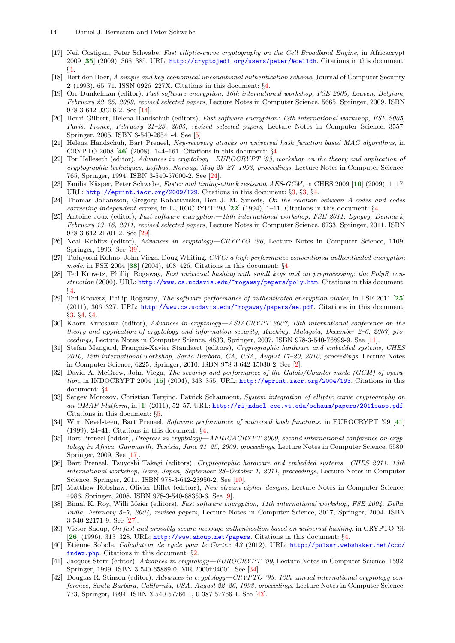- <span id="page-13-30"></span><span id="page-13-0"></span>[17] Neil Costigan, Peter Schwabe, Fast elliptic-curve cryptography on the Cell Broadband Engine, in Africacrypt 2009 [[35](#page-13-22)] (2009), 368–385. URL: <http://cryptojedi.org/users/peter/#celldh>. Citations in this document: §[1](#page-1-2).
- <span id="page-13-5"></span>[18] Bert den Boer, A simple and key-economical unconditional authentication scheme, Journal of Computer Security 2 (1993), 65–71. ISSN 0926–227X. Citations in this document: §[4](#page-7-7).
- <span id="page-13-19"></span>[19] Orr Dunkelman (editor), Fast software encryption, 16th international workshop, FSE 2009, Leuven, Belgium, February 22–25, 2009, revised selected papers, Lecture Notes in Computer Science, 5665, Springer, 2009. ISBN 978-3-642-03316-2. See [\[14\]](#page-12-15).
- <span id="page-13-15"></span>[20] Henri Gilbert, Helena Handschuh (editors), Fast software encryption: 12th international workshop, FSE 2005, Paris, France, February 21–23, 2005, revised selected papers, Lecture Notes in Computer Science, 3557, Springer, 2005. ISBN 3-540-26541-4. See [[5\]](#page-12-16).
- <span id="page-13-35"></span><span id="page-13-11"></span>[21] Helena Handschuh, Bart Preneel, Key-recovery attacks on universal hash function based MAC algorithms, in CRYPTO 2008 [[46](#page-14-5)] (2008), 144–161. Citations in this document: §[4](#page-7-8).
- <span id="page-13-24"></span>[22] Tor Helleseth (editor), Advances in cryptology—EUROCRYPT '93, workshop on the theory and application of cryptographic techniques, Lofthus, Norway, May 23–27, 1993, proceedings, Lecture Notes in Computer Science, 765, Springer, 1994. ISBN 3-540-57600-2. See [\[24\]](#page-13-23).
- <span id="page-13-21"></span><span id="page-13-3"></span>[23] Emilia Käsper, Peter Schwabe, Faster and timing-attack resistant AES-GCM, in CHES 2009 [[16](#page-12-17)] (2009), 1–17. URL: <http://eprint.iacr.org/2009/129>. Citations in this document: §[3,](#page-4-2) §[3,](#page-4-3) §[4](#page-8-0).
- <span id="page-13-23"></span><span id="page-13-6"></span>[24] Thomas Johansson, Gregory Kabatianskii, Ben J. M. Smeets, On the relation between A-codes and codes correcting independent errors, in EUROCRYPT '93  $[22]$  $[22]$  $[22]$  (199[4](#page-7-9)), 1–11. Citations in this document:  $\S4$ .
- <span id="page-13-28"></span>[25] Antoine Joux (editor), Fast software encryption—18th international workshop, FSE 2011, Lyngby, Denmark, February 13–16, 2011, revised selected papers, Lecture Notes in Computer Science, 6733, Springer, 2011. ISBN 978-3-642-21701-2. See [\[29\]](#page-13-25).
- <span id="page-13-32"></span>[26] Neal Koblitz (editor), Advances in cryptology—CRYPTO '96, Lecture Notes in Computer Science, 1109, Springer, 1996. See [[39](#page-13-26)].
- <span id="page-13-31"></span><span id="page-13-10"></span>[27] Tadayoshi Kohno, John Viega, Doug Whiting, CWC: a high-performance conventional authenticated encryption mode, in FSE 2004 [[38](#page-13-27)] (2004), 408–426. Citations in this document: §[4.](#page-7-10)
- <span id="page-13-9"></span>[28] Ted Krovetz, Phillip Rogaway, Fast universal hashing with small keys and no preprocessing: the PolyR construction (2000). URL: <http://www.cs.ucdavis.edu/~rogaway/papers/poly.htm>. Citations in this document: §[4](#page-7-11).
- <span id="page-13-25"></span><span id="page-13-2"></span>[29] Ted Krovetz, Philip Rogaway, The software performance of authenticated-encryption modes, in FSE 2011 [[25](#page-13-28)] (2011), 306–327. URL: <http://www.cs.ucdavis.edu/~rogaway/papers/ae.pdf>. Citations in this document: §[3](#page-4-4), §[4,](#page-7-12) §[4.](#page-7-13)
- <span id="page-13-18"></span>[30] Kaoru Kurosawa (editor), Advances in cryptology—ASIACRYPT 2007, 13th international conference on the theory and application of cryptology and information security, Kuching, Malaysia, December 2–6, 2007, proceedings, Lecture Notes in Computer Science, 4833, Springer, 2007. ISBN 978-3-540-76899-9. See [[11\]](#page-12-18).
- <span id="page-13-14"></span>[31] Stefan Mangard, François-Xavier Standaert (editors), Cryptographic hardware and embedded systems, CHES 2010, 12th international workshop, Santa Barbara, CA, USA, August 17–20, 2010, proceedings, Lecture Notes in Computer Science, 6225, Springer, 2010. ISBN 978-3-642-15030-2. See [[2\]](#page-12-19).
- <span id="page-13-20"></span><span id="page-13-4"></span>[32] David A. McGrew, John Viega, The security and performance of the Galois/Counter mode (GCM) of opera-tion, in INDOCRYPT 2004 [[15](#page-12-20)] (2004), 343-355. URL: <http://eprint.iacr.org/2004/193>. Citations in this document: §[4](#page-7-14).
- <span id="page-13-13"></span><span id="page-13-12"></span>[33] Sergey Morozov, Christian Tergino, Patrick Schaumont, System integration of elliptic curve cryptography on an OMAP Platform, in [[1](#page-12-21)] (2011), 52-57. URL: <http://rijndael.ece.vt.edu/schaum/papers/2011sasp.pdf>. Citations in this document: §[5](#page-10-5).
- <span id="page-13-33"></span><span id="page-13-8"></span>[34] Wim Nevelsteen, Bart Preneel, Software performance of universal hash functions, in EUROCRYPT '99 [[41](#page-13-29)] (1999), 24–41. Citations in this document: §[4.](#page-7-15)
- <span id="page-13-22"></span>[35] Bart Preneel (editor), Progress in cryptology—AFRICACRYPT 2009, second international conference on cryptology in Africa, Gammarth, Tunisia, June 21–25, 2009, proceedings, Lecture Notes in Computer Science, 5580, Springer, 2009. See [[17](#page-13-30)].
- <span id="page-13-17"></span>[36] Bart Preneel, Tsuyoshi Takagi (editors), Cryptographic hardware and embedded systems—CHES 2011, 13th international workshop, Nara, Japan, September 28–October 1, 2011, proceedings, Lecture Notes in Computer Science, Springer, 2011. ISBN 978-3-642-23950-2. See [[10\]](#page-12-22).
- <span id="page-13-16"></span>[37] Matthew Robshaw, Olivier Billet (editors), New stream cipher designs, Lecture Notes in Computer Science, 4986, Springer, 2008. ISBN 978-3-540-68350-6. See [[9](#page-12-23)].
- <span id="page-13-27"></span>[38] Bimal K. Roy, Willi Meier (editors), Fast software encryption, 11th international workshop, FSE 2004, Delhi, India, February 5–7, 2004, revised papers, Lecture Notes in Computer Science, 3017, Springer, 2004. ISBN 3-540-22171-9. See [\[27\]](#page-13-31).
- <span id="page-13-26"></span><span id="page-13-7"></span>[39] Victor Shoup, On fast and provably secure message authentication based on universal hashing, in CRYPTO '96 [[26](#page-13-32)] (1996), 313–328. URL: <http://www.shoup.net/papers>. Citations in this document: §[4.](#page-7-16)
- <span id="page-13-1"></span>[40] Etienne Sobole, Calculateur de cycle pour le Cortex A8 (2012). URL: [http://pulsar.webshaker.net/ccc/](http://pulsar.webshaker.net/ccc/index.php) [index.php](http://pulsar.webshaker.net/ccc/index.php). Citations in this document: §[2](#page-3-1).
- <span id="page-13-29"></span>[41] Jacques Stern (editor), Advances in cryptology—EUROCRYPT '99, Lecture Notes in Computer Science, 1592, Springer, 1999. ISBN 3-540-65889-0. MR 2000i:94001. See [\[34\]](#page-13-33).
- <span id="page-13-34"></span>[42] Douglas R. Stinson (editor), Advances in cryptology—CRYPTO '93: 13th annual international cryptology conference, Santa Barbara, California, USA, August 22–26, 1993, proceedings, Lecture Notes in Computer Science, 773, Springer, 1994. ISBN 3-540-57766-1, 0-387-57766-1. See [[43](#page-14-6)].